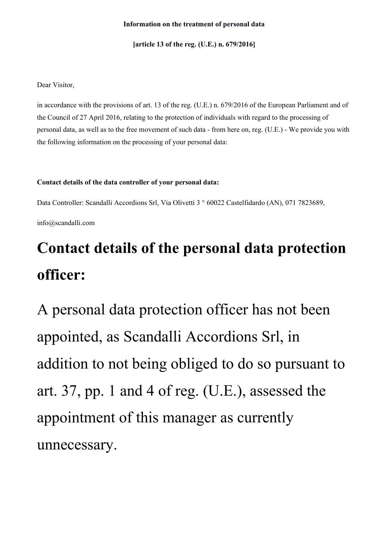#### **Information on the treatment of personal data**

**[article 13 of the reg. (U.E.) n. 679/2016]**

Dear Visitor,

in accordance with the provisions of art. 13 of the reg. (U.E.) n. 679/2016 of the European Parliament and of the Council of 27 April 2016, relating to the protection of individuals with regard to the processing of personal data, as well as to the free movement of such data - from here on, reg. (U.E.) - We provide you with the following information on the processing of your personal data:

#### **Contact details of the data controller of your personal data:**

Data Controller: Scandalli Accordions Srl, Via Olivetti 3 ° 60022 Castelfidardo (AN), 071 7823689,

info@scandalli.com

## **Contact details of the personal data protection officer:**

A personal data protection officer has not been appointed, as Scandalli Accordions Srl, in addition to not being obliged to do so pursuant to art. 37, pp. 1 and 4 of reg. (U.E.), assessed the appointment of this manager as currently unnecessary.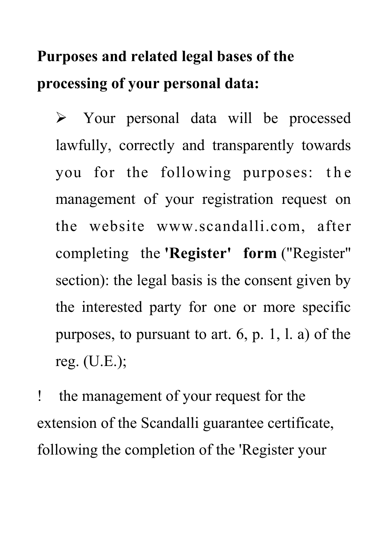## **Purposes and related legal bases of the processing of your personal data:**

 Your personal data will be processed lawfully, correctly and transparently towards you for the following purposes: the management of your registration request on the website www.scandalli.com, after completing the **'Register' form** ("Register" section): the legal basis is the consent given by the interested party for one or more specific purposes, to pursuant to art. 6, p. 1, l. a) of the reg. (U.E.);

 the management of your request for the extension of the Scandalli guarantee certificate, following the completion of the 'Register your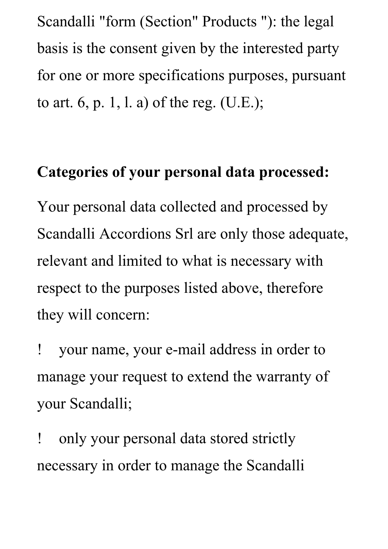Scandalli "form (Section" Products "): the legal basis is the consent given by the interested party for one or more specifications purposes, pursuant to art. 6, p. 1, l. a) of the reg. (U.E.);

#### **Categories of your personal data processed:**

Your personal data collected and processed by Scandalli Accordions Srl are only those adequate, relevant and limited to what is necessary with respect to the purposes listed above, therefore they will concern:

 your name, your e-mail address in order to manage your request to extend the warranty of your Scandalli;

 only your personal data stored strictly necessary in order to manage the Scandalli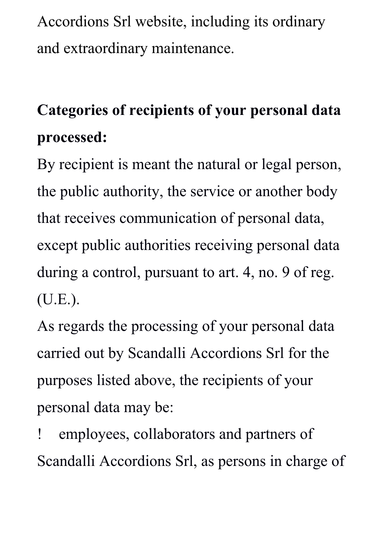Accordions Srl website, including its ordinary and extraordinary maintenance.

# **Categories of recipients of your personal data processed:**

By recipient is meant the natural or legal person, the public authority, the service or another body that receives communication of personal data, except public authorities receiving personal data during a control, pursuant to art. 4, no. 9 of reg. (U.E.).

As regards the processing of your personal data carried out by Scandalli Accordions Srl for the purposes listed above, the recipients of your personal data may be:

 employees, collaborators and partners of Scandalli Accordions Srl, as persons in charge of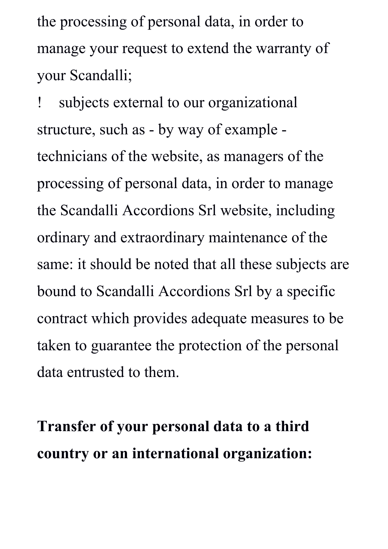the processing of personal data, in order to manage your request to extend the warranty of your Scandalli;

 subjects external to our organizational structure, such as - by way of example technicians of the website, as managers of the processing of personal data, in order to manage the Scandalli Accordions Srl website, including ordinary and extraordinary maintenance of the same: it should be noted that all these subjects are bound to Scandalli Accordions Srl by a specific contract which provides adequate measures to be taken to guarantee the protection of the personal data entrusted to them.

**Transfer of your personal data to a third country or an international organization:**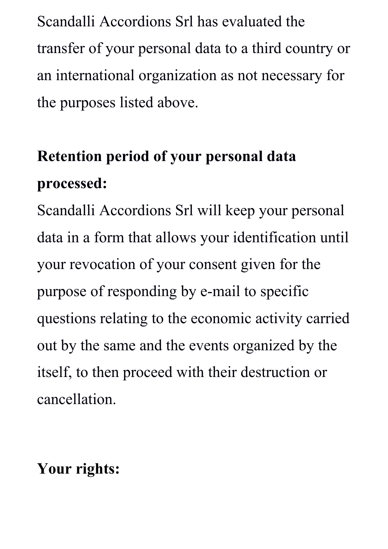Scandalli Accordions Srl has evaluated the transfer of your personal data to a third country or an international organization as not necessary for the purposes listed above.

## **Retention period of your personal data processed:**

Scandalli Accordions Srl will keep your personal data in a form that allows your identification until your revocation of your consent given for the purpose of responding by e-mail to specific questions relating to the economic activity carried out by the same and the events organized by the itself, to then proceed with their destruction or cancellation.

#### **Your rights:**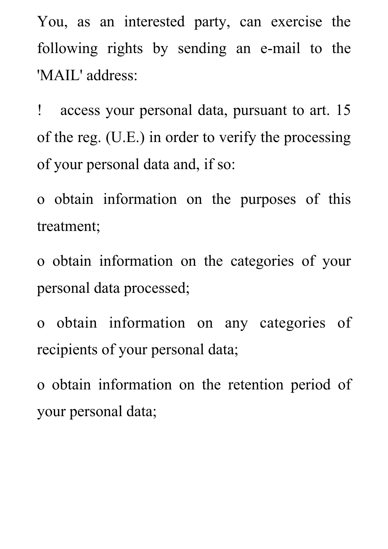You, as an interested party, can exercise the following rights by sending an e-mail to the 'MAIL' address:

 access your personal data, pursuant to art. 15 of the reg. (U.E.) in order to verify the processing of your personal data and, if so:

o obtain information on the purposes of this treatment;

o obtain information on the categories of your personal data processed;

o obtain information on any categories of recipients of your personal data;

o obtain information on the retention period of your personal data;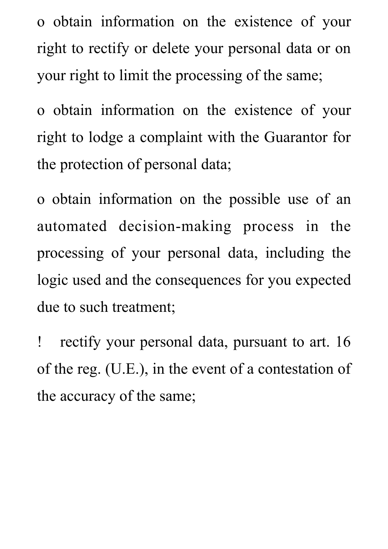o obtain information on the existence of your right to rectify or delete your personal data or on your right to limit the processing of the same;

o obtain information on the existence of your right to lodge a complaint with the Guarantor for the protection of personal data;

o obtain information on the possible use of an automated decision-making process in the processing of your personal data, including the logic used and the consequences for you expected due to such treatment;

 rectify your personal data, pursuant to art. 16 of the reg. (U.E.), in the event of a contestation of the accuracy of the same;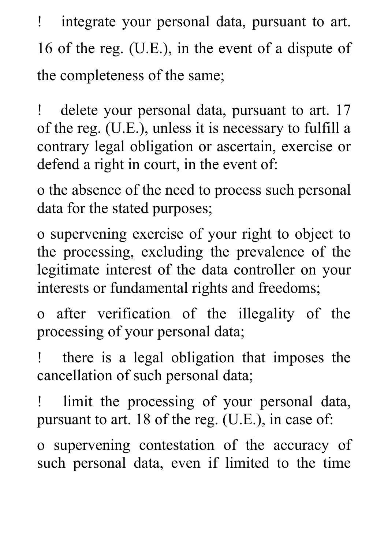integrate your personal data, pursuant to art. 16 of the reg. (U.E.), in the event of a dispute of the completeness of the same;

 delete your personal data, pursuant to art. 17 of the reg. (U.E.), unless it is necessary to fulfill a contrary legal obligation or ascertain, exercise or defend a right in court, in the event of:

o the absence of the need to process such personal data for the stated purposes;

o supervening exercise of your right to object to the processing, excluding the prevalence of the legitimate interest of the data controller on your interests or fundamental rights and freedoms;

o after verification of the illegality of the processing of your personal data;

 there is a legal obligation that imposes the cancellation of such personal data;

 limit the processing of your personal data, pursuant to art. 18 of the reg. (U.E.), in case of:

o supervening contestation of the accuracy of such personal data, even if limited to the time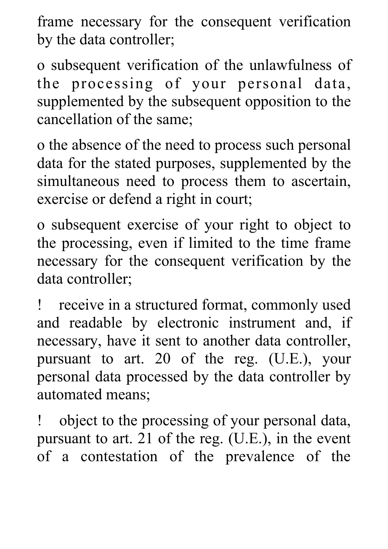frame necessary for the consequent verification by the data controller;

o subsequent verification of the unlawfulness of the processing of your personal data, supplemented by the subsequent opposition to the cancellation of the same;

o the absence of the need to process such personal data for the stated purposes, supplemented by the simultaneous need to process them to ascertain, exercise or defend a right in court;

o subsequent exercise of your right to object to the processing, even if limited to the time frame necessary for the consequent verification by the data controller;

 receive in a structured format, commonly used and readable by electronic instrument and, if necessary, have it sent to another data controller, pursuant to art. 20 of the reg. (U.E.), your personal data processed by the data controller by automated means;

 object to the processing of your personal data, pursuant to art. 21 of the reg. (U.E.), in the event of a contestation of the prevalence of the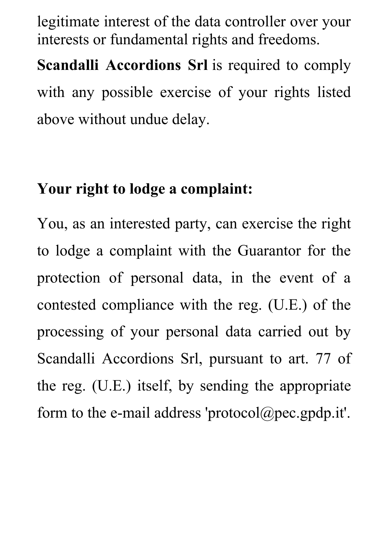legitimate interest of the data controller over your interests or fundamental rights and freedoms.

**Scandalli Accordions Srl** is required to comply with any possible exercise of your rights listed above without undue delay.

#### **Your right to lodge a complaint:**

You, as an interested party, can exercise the right to lodge a complaint with the Guarantor for the protection of personal data, in the event of a contested compliance with the reg. (U.E.) of the processing of your personal data carried out by Scandalli Accordions Srl, pursuant to art. 77 of the reg. (U.E.) itself, by sending the appropriate form to the e-mail address 'protocol@pec.gpdp.it'.